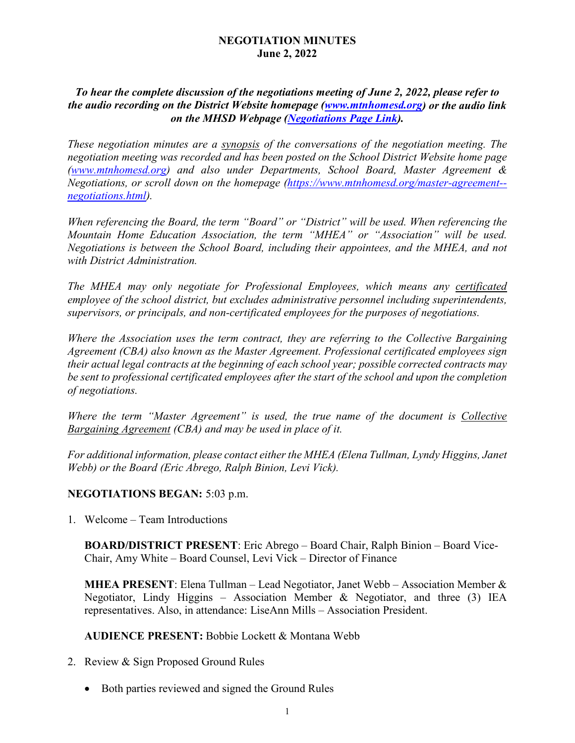## **NEGOTIATION MINUTES June 2, 2022**

## *To hear the complete discussion of the negotiations meeting of June 2, 2022, please refer to the audio recording on the District Website homepage [\(www.mtnhomesd.org\)](http://www.mtnhomesd.org/) or the audio link on the MHSD Webpage [\(Negotiations Page Link\)](http://www.mtnhomesd.org/master-agreement--negotiations.html).*

*These negotiation minutes are a synopsis of the conversations of the negotiation meeting. The negotiation meeting was recorded and has been posted on the School District Website home page [\(www.mtnhomesd.org\)](http://www.mtnhomesd.org/) and also under Departments, School Board, Master Agreement & Negotiations, or scroll down on the homepage [\(https://www.mtnhomesd.org/master-agreement-](https://www.mtnhomesd.org/master-agreement--negotiations.html) [negotiations.html\)](https://www.mtnhomesd.org/master-agreement--negotiations.html).*

*When referencing the Board, the term "Board" or "District" will be used. When referencing the Mountain Home Education Association, the term "MHEA" or "Association" will be used. Negotiations is between the School Board, including their appointees, and the MHEA, and not with District Administration.*

*The MHEA may only negotiate for Professional Employees, which means any certificated employee of the school district, but excludes administrative personnel including superintendents, supervisors, or principals, and non-certificated employees for the purposes of negotiations.* 

*Where the Association uses the term contract, they are referring to the Collective Bargaining Agreement (CBA) also known as the Master Agreement. Professional certificated employees sign their actual legal contracts at the beginning of each school year; possible corrected contracts may be sent to professional certificated employees after the start of the school and upon the completion of negotiations.* 

*Where the term "Master Agreement" is used, the true name of the document is Collective Bargaining Agreement (CBA) and may be used in place of it.*

*For additional information, please contact either the MHEA (Elena Tullman, Lyndy Higgins, Janet Webb) or the Board (Eric Abrego, Ralph Binion, Levi Vick).*

## **NEGOTIATIONS BEGAN:** 5:03 p.m.

1. Welcome – Team Introductions

**BOARD/DISTRICT PRESENT**: Eric Abrego – Board Chair, Ralph Binion – Board Vice-Chair, Amy White – Board Counsel, Levi Vick – Director of Finance

**MHEA PRESENT**: Elena Tullman – Lead Negotiator, Janet Webb – Association Member & Negotiator, Lindy Higgins – Association Member & Negotiator, and three (3) IEA representatives. Also, in attendance: LiseAnn Mills – Association President.

**AUDIENCE PRESENT:** Bobbie Lockett & Montana Webb

- 2. Review & Sign Proposed Ground Rules
	- Both parties reviewed and signed the Ground Rules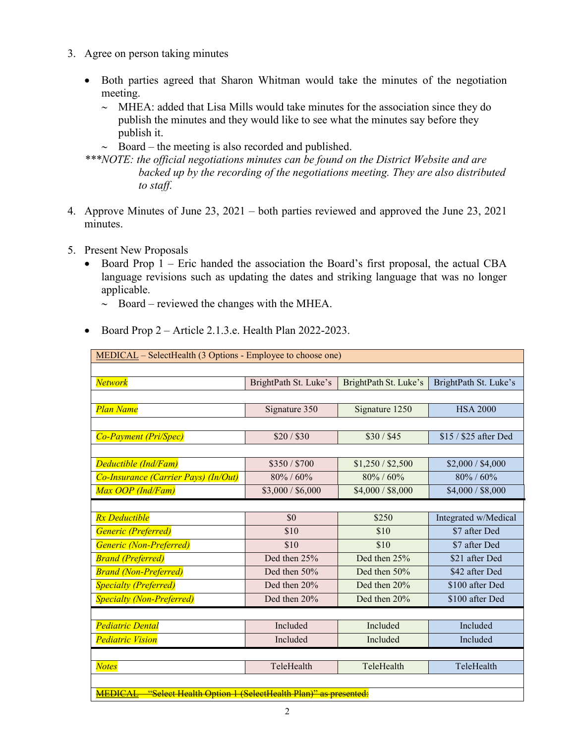- 3. Agree on person taking minutes
	- Both parties agreed that Sharon Whitman would take the minutes of the negotiation meeting.
		- ∼ MHEA: added that Lisa Mills would take minutes for the association since they do publish the minutes and they would like to see what the minutes say before they publish it.
		- ∼ Board the meeting is also recorded and published.

*\*\*\*NOTE: the official negotiations minutes can be found on the District Website and are backed up by the recording of the negotiations meeting. They are also distributed to staff.*

- 4. Approve Minutes of June 23, 2021 both parties reviewed and approved the June 23, 2021 minutes.
- 5. Present New Proposals
	- Board Prop 1 Eric handed the association the Board's first proposal, the actual CBA language revisions such as updating the dates and striking language that was no longer applicable.
		- ∼ Board reviewed the changes with the MHEA.
	- Board Prop 2 Article 2.1.3.e. Health Plan 2022-2023.

| $MEDICAL – SelectHealth (3 Options - Employee to choose one)$                |                       |                       |                       |  |  |  |
|------------------------------------------------------------------------------|-----------------------|-----------------------|-----------------------|--|--|--|
|                                                                              |                       |                       |                       |  |  |  |
| <b>Network</b>                                                               | BrightPath St. Luke's | BrightPath St. Luke's | BrightPath St. Luke's |  |  |  |
|                                                                              |                       |                       |                       |  |  |  |
| <b>Plan Name</b>                                                             | Signature 350         | Signature 1250        | <b>HSA 2000</b>       |  |  |  |
|                                                                              |                       |                       |                       |  |  |  |
| <b>Co-Payment (Pri/Spec)</b>                                                 | \$20/\$30             | \$30 / \$45           | $$15 / $25$ after Ded |  |  |  |
|                                                                              |                       |                       |                       |  |  |  |
| Deductible (Ind/Fam)                                                         | \$350/\$700           | \$1,250 / \$2,500     | \$2,000 / \$4,000     |  |  |  |
| Co-Insurance (Carrier Pays) (In/Out)                                         | $80\% / 60\%$         | 80% / 60%             | 80% / 60%             |  |  |  |
| Max OOP (Ind/Fam)                                                            | \$3,000 / \$6,000     | \$4,000 / \$8,000     | \$4,000 / \$8,000     |  |  |  |
|                                                                              |                       |                       |                       |  |  |  |
| <b>Rx</b> Deductible                                                         | \$0                   | \$250                 | Integrated w/Medical  |  |  |  |
| Generic (Preferred)                                                          | \$10                  | \$10                  | \$7 after Ded         |  |  |  |
| Generic (Non-Preferred)                                                      | \$10                  | \$10                  | \$7 after Ded         |  |  |  |
| <b>Brand (Preferred)</b>                                                     | Ded then 25%          | Ded then 25%          | \$21 after Ded        |  |  |  |
| <b>Brand (Non-Preferred)</b>                                                 | Ded then $50%$        | Ded then $50%$        | \$42 after Ded        |  |  |  |
| <b>Specialty (Preferred)</b>                                                 | Ded then 20%          | Ded then 20%          | \$100 after Ded       |  |  |  |
| <b>Specialty (Non-Preferred)</b>                                             | Ded then 20%          | Ded then 20%          | \$100 after Ded       |  |  |  |
|                                                                              |                       |                       |                       |  |  |  |
| <b>Pediatric Dental</b>                                                      | Included              | Included              | Included              |  |  |  |
| <b>Pediatric Vision</b>                                                      | Included              | Included              | Included              |  |  |  |
|                                                                              |                       |                       |                       |  |  |  |
| <b>Notes</b>                                                                 | TeleHealth            | TeleHealth            | TeleHealth            |  |  |  |
|                                                                              |                       |                       |                       |  |  |  |
| "Select Health Option 1 (SelectHealth Plan)" as presented:<br><b>MEDICAL</b> |                       |                       |                       |  |  |  |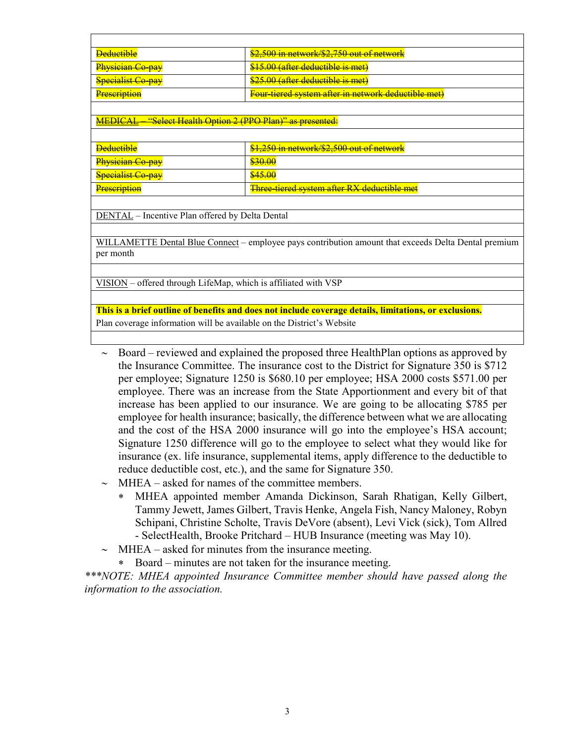| <b>Deductible</b>           | \$2,500 in network/\$2,750 out of network                  |
|-----------------------------|------------------------------------------------------------|
| <del>Physician Co-pay</del> | <del>\$15.00 (after deductible is met)</del>               |
| <b>Specialist Co-pay</b>    | <del>\$25.00 (after deductible is met)</del>               |
| Prescription                | <b>Four tiered system after in network deductible met)</b> |

MEDICAL – "Select Health Option 2 (PPO Plan)" as presented:

| <del>Deductible</del>                      | $1250$ in network $2250$ aut of network<br><del>31,230 III HClWOIK/\$2,300 out of helwoik</del> |
|--------------------------------------------|-------------------------------------------------------------------------------------------------|
| <del>Physician Co-pay</del>                | <del>ww.uu</del>                                                                                |
| <b>Specialist Co-pay</b>                   | <del>\$45.00</del>                                                                              |
| <b>Prescription</b><br><del>HUSUNUMI</del> | <b>Three tiered system after RX deductible met</b>                                              |

DENTAL - Incentive Plan offered by Delta Dental

WILLAMETTE Dental Blue Connect – employee pays contribution amount that exceeds Delta Dental premium per month

VISION – offered through LifeMap, which is affiliated with VSP

**This is a brief outline of benefits and does not include coverage details, limitations, or exclusions.** Plan coverage information will be available on the District's Website

- ∼ Board reviewed and explained the proposed three HealthPlan options as approved by the Insurance Committee. The insurance cost to the District for Signature 350 is \$712 per employee; Signature 1250 is \$680.10 per employee; HSA 2000 costs \$571.00 per employee. There was an increase from the State Apportionment and every bit of that increase has been applied to our insurance. We are going to be allocating \$785 per employee for health insurance; basically, the difference between what we are allocating and the cost of the HSA 2000 insurance will go into the employee's HSA account; Signature 1250 difference will go to the employee to select what they would like for insurance (ex. life insurance, supplemental items, apply difference to the deductible to reduce deductible cost, etc.), and the same for Signature 350.
- ∼ MHEA asked for names of the committee members.
	- ∗ MHEA appointed member Amanda Dickinson, Sarah Rhatigan, Kelly Gilbert, Tammy Jewett, James Gilbert, Travis Henke, Angela Fish, Nancy Maloney, Robyn Schipani, Christine Scholte, Travis DeVore (absent), Levi Vick (sick), Tom Allred - SelectHealth, Brooke Pritchard – HUB Insurance (meeting was May 10).
- ∼ MHEA asked for minutes from the insurance meeting.
	- ∗ Board minutes are not taken for the insurance meeting.

*\*\*\*NOTE: MHEA appointed Insurance Committee member should have passed along the information to the association.*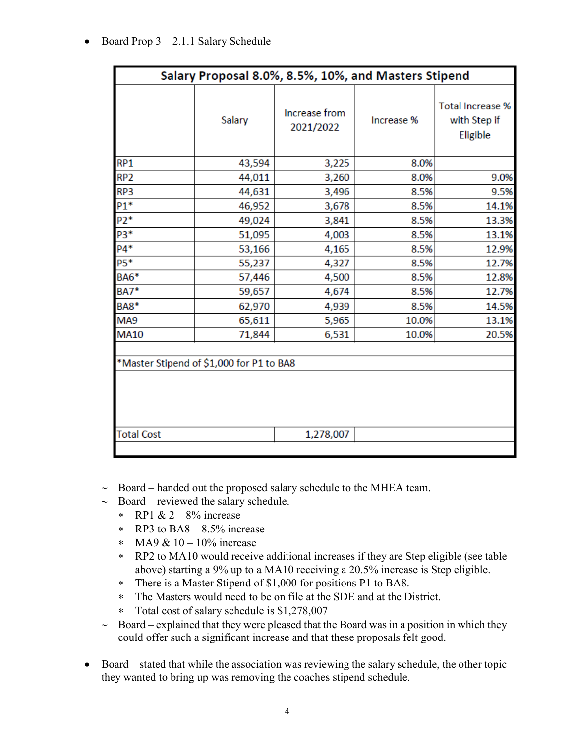• Board Prop 3 – 2.1.1 Salary Schedule

| Salary Proposal 8.0%, 8.5%, 10%, and Masters Stipend |        |                            |            |                                                     |  |  |
|------------------------------------------------------|--------|----------------------------|------------|-----------------------------------------------------|--|--|
|                                                      | Salary | Increase from<br>2021/2022 | Increase % | <b>Total Increase %</b><br>with Step if<br>Eligible |  |  |
| RP <sub>1</sub>                                      | 43,594 | 3,225                      | 8.0%       |                                                     |  |  |
| RP <sub>2</sub>                                      | 44,011 | 3,260                      | 8.0%       | 9.0%                                                |  |  |
| RP3                                                  | 44,631 | 3,496                      | 8.5%       | 9.5%                                                |  |  |
| $P1*$                                                | 46,952 | 3,678                      | 8.5%       | 14.1%                                               |  |  |
| $P2*$                                                | 49,024 | 3,841                      | 8.5%       | 13.3%                                               |  |  |
| P3*                                                  | 51,095 | 4,003                      | 8.5%       | 13.1%                                               |  |  |
| $P4*$                                                | 53,166 | 4,165                      | 8.5%       | 12.9%                                               |  |  |
| P5*                                                  | 55,237 | 4,327                      | 8.5%       | 12.7%                                               |  |  |
| BA6*                                                 | 57,446 | 4,500                      | 8.5%       | 12.8%                                               |  |  |
| <b>BA7*</b>                                          | 59,657 | 4,674                      | 8.5%       | 12.7%                                               |  |  |
| <b>BA8*</b>                                          | 62,970 | 4,939                      | 8.5%       | 14.5%                                               |  |  |
| MA9                                                  | 65,611 | 5,965                      | 10.0%      | 13.1%                                               |  |  |
| <b>MA10</b>                                          | 71,844 | 6,531                      | 10.0%      | 20.5%                                               |  |  |
| *Master Stipend of \$1,000 for P1 to BA8             |        |                            |            |                                                     |  |  |
| <b>Total Cost</b>                                    |        | 1,278,007                  |            |                                                     |  |  |
|                                                      |        |                            |            |                                                     |  |  |

- ∼ Board handed out the proposed salary schedule to the MHEA team.
- ∼ Board reviewed the salary schedule.
	- $\ast$  RP1 & 2 8% increase
	- ∗ RP3 to BA8 8.5% increase
	- ∗ MA9 & 10 10% increase
	- ∗ RP2 to MA10 would receive additional increases if they are Step eligible (see table above) starting a 9% up to a MA10 receiving a 20.5% increase is Step eligible.
	- ∗ There is a Master Stipend of \$1,000 for positions P1 to BA8.
	- ∗ The Masters would need to be on file at the SDE and at the District.
	- ∗ Total cost of salary schedule is \$1,278,007
- ∼ Board explained that they were pleased that the Board was in a position in which they could offer such a significant increase and that these proposals felt good.
- Board stated that while the association was reviewing the salary schedule, the other topic they wanted to bring up was removing the coaches stipend schedule.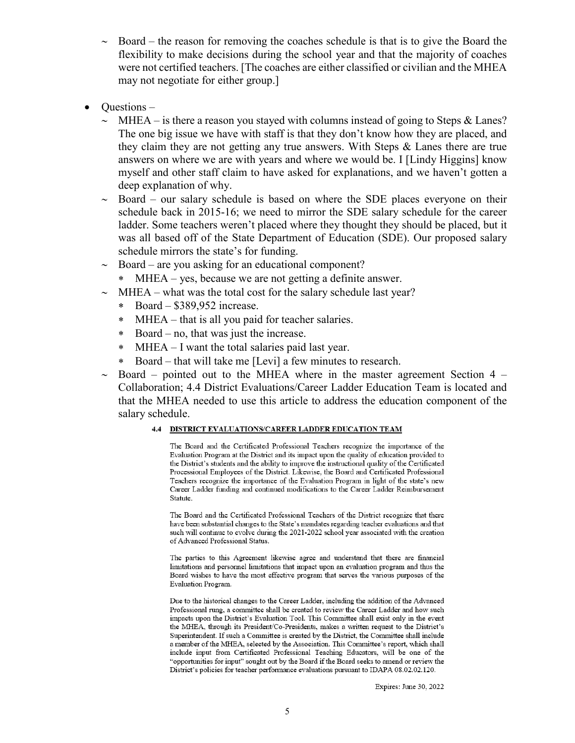- ∼ Board the reason for removing the coaches schedule is that is to give the Board the flexibility to make decisions during the school year and that the majority of coaches were not certified teachers. [The coaches are either classified or civilian and the MHEA may not negotiate for either group.]
- Questions
	- ∼ MHEA is there a reason you stayed with columns instead of going to Steps & Lanes? The one big issue we have with staff is that they don't know how they are placed, and they claim they are not getting any true answers. With Steps & Lanes there are true answers on where we are with years and where we would be. I [Lindy Higgins] know myself and other staff claim to have asked for explanations, and we haven't gotten a deep explanation of why.
	- ∼ Board our salary schedule is based on where the SDE places everyone on their schedule back in 2015-16; we need to mirror the SDE salary schedule for the career ladder. Some teachers weren't placed where they thought they should be placed, but it was all based off of the State Department of Education (SDE). Our proposed salary schedule mirrors the state's for funding.
	- ∼ Board are you asking for an educational component?
		- ∗ MHEA yes, because we are not getting a definite answer.
	- ∼ MHEA what was the total cost for the salary schedule last year?
		- ∗ Board \$389,952 increase.
		- ∗ MHEA that is all you paid for teacher salaries.
		- ∗ Board no, that was just the increase.
		- ∗ MHEA I want the total salaries paid last year.
		- ∗ Board that will take me [Levi] a few minutes to research.
	- $\sim$  Board pointed out to the MHEA where in the master agreement Section 4 Collaboration; 4.4 District Evaluations/Career Ladder Education Team is located and that the MHEA needed to use this article to address the education component of the salary schedule.

## 4.4 DISTRICT EVALUATIONS/CAREER LADDER EDUCATION TEAM

The Board and the Certificated Professional Teachers recognize the importance of the Evaluation Program at the District and its impact upon the quality of education provided to the District's students and the ability to improve the instructional quality of the Certificated Processional Employees of the District. Likewise, the Board and Certificated Professional Teachers recognize the importance of the Evaluation Program in light of the state's new Career Ladder funding and continued modifications to the Career Ladder Reimbursement Statute.

The Board and the Certificated Professional Teachers of the District recognize that there have been substantial changes to the State's mandates regarding teacher evaluations and that such will continue to evolve during the 2021-2022 school year associated with the creation of Advanced Professional Status.

The parties to this Agreement likewise agree and understand that there are financial limitations and personnel limitations that impact upon an evaluation program and thus the Board wishes to have the most effective program that serves the various purposes of the Evaluation Program.

Due to the historical changes to the Career Ladder, including the addition of the Advanced Professional rung, a committee shall be created to review the Career Ladder and how such impacts upon the District's Evaluation Tool. This Committee shall exist only in the event the MHEA, through its President/Co-Presidents, makes a written request to the District's Superintendent. If such a Committee is created by the District, the Committee shall include a member of the MHEA, selected by the Association. This Committee's report, which shall include input from Certificated Professional Teaching Educators, will be one of the "opportunities for input" sought out by the Board if the Board seeks to amend or review the District's policies for teacher performance evaluations pursuant to IDAPA 08.02.02.120.

Expires: June 30, 2022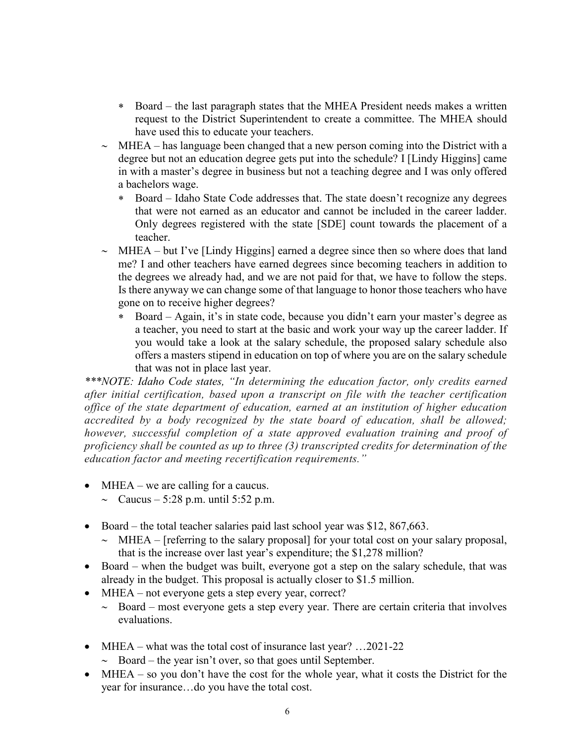- ∗ Board the last paragraph states that the MHEA President needs makes a written request to the District Superintendent to create a committee. The MHEA should have used this to educate your teachers.
- ∼ MHEA has language been changed that a new person coming into the District with a degree but not an education degree gets put into the schedule? I [Lindy Higgins] came in with a master's degree in business but not a teaching degree and I was only offered a bachelors wage.
	- ∗ Board Idaho State Code addresses that. The state doesn't recognize any degrees that were not earned as an educator and cannot be included in the career ladder. Only degrees registered with the state [SDE] count towards the placement of a teacher.
- ∼ MHEA but I've [Lindy Higgins] earned a degree since then so where does that land me? I and other teachers have earned degrees since becoming teachers in addition to the degrees we already had, and we are not paid for that, we have to follow the steps. Is there anyway we can change some of that language to honor those teachers who have gone on to receive higher degrees?
	- ∗ Board Again, it's in state code, because you didn't earn your master's degree as a teacher, you need to start at the basic and work your way up the career ladder. If you would take a look at the salary schedule, the proposed salary schedule also offers a masters stipend in education on top of where you are on the salary schedule that was not in place last year.

*\*\*\*NOTE: Idaho Code states, "In determining the education factor, only credits earned after initial certification, based upon a transcript on file with the teacher certification office of the state department of education, earned at an institution of higher education accredited by a body recognized by the state board of education, shall be allowed; however, successful completion of a state approved evaluation training and proof of proficiency shall be counted as up to three (3) transcripted credits for determination of the education factor and meeting recertification requirements."*

- MHEA we are calling for a caucus.
	- $~\sim~$  Caucus 5:28 p.m. until 5:52 p.m.
- Board the total teacher salaries paid last school year was \$12, 867,663.
	- ∼ MHEA [referring to the salary proposal] for your total cost on your salary proposal, that is the increase over last year's expenditure; the \$1,278 million?
- Board when the budget was built, everyone got a step on the salary schedule, that was already in the budget. This proposal is actually closer to \$1.5 million.
- MHEA not everyone gets a step every year, correct?
	- ∼ Board most everyone gets a step every year. There are certain criteria that involves evaluations.
- MHEA what was the total cost of insurance last year? ...2021-22
	- ∼ Board the year isn't over, so that goes until September.
- MHEA so you don't have the cost for the whole year, what it costs the District for the year for insurance…do you have the total cost.